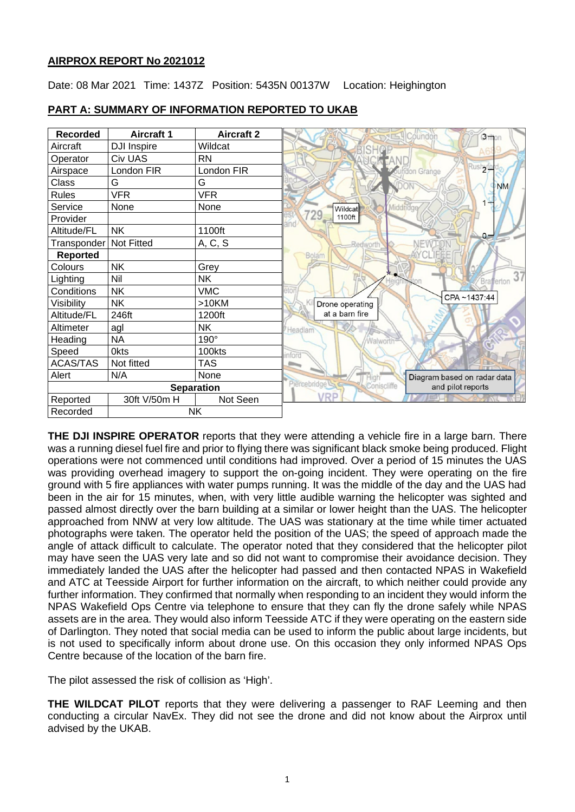## **AIRPROX REPORT No 2021012**

Date: 08 Mar 2021 Time: 1437Z Position: 5435N 00137W Location: Heighington

| <b>Recorded</b>          | <b>Aircraft 1</b>  | <b>Aircraft 2</b> | <b>3 mon</b><br>oundor                             |
|--------------------------|--------------------|-------------------|----------------------------------------------------|
| Aircraft                 | <b>DJI Inspire</b> | Wildcat           |                                                    |
| Operator                 | Civ UAS            | <b>RN</b>         |                                                    |
| Airspace                 | London FIR         | London FIR        | byfe<br>fdon Grange                                |
| Class                    | G                  | G                 | <b>NM</b>                                          |
| <b>Rules</b>             | <b>VFR</b>         | <b>VFR</b>        |                                                    |
| Service                  | <b>None</b>        | None              | Middridge<br>Wildcat                               |
| Provider                 |                    |                   | 729<br>1100ft                                      |
| Altitude/FL              | <b>NK</b>          | 1100ft            | $0 -$                                              |
| Transponder   Not Fitted |                    | A, C, S           | <b>Redworth</b>                                    |
| <b>Reported</b>          |                    |                   | Bolam                                              |
| Colours                  | <b>NK</b>          | Grey              |                                                    |
| Lighting                 | Nil                | NK                | 37<br>Brafferton                                   |
| Conditions               | <b>NK</b>          | <b>VMC</b>        | CPA~1437:44                                        |
| Visibility               | <b>NK</b>          | $>10$ KM          | Drone operating                                    |
| Altitude/FL              | 246ft              | 1200ft            | at a barn fire                                     |
| Altimeter                | agl                | <b>NK</b>         | Headlam                                            |
| Heading                  | <b>NA</b>          | 190°              | Walworth                                           |
| Speed                    | <b>Okts</b>        | 100kts            | torc                                               |
| <b>ACAS/TAS</b>          | Not fitted         | <b>TAS</b>        |                                                    |
| Alert                    | N/A                | None              | Diagram based on radar data                        |
| <b>Separation</b>        |                    |                   | Piercebridge L<br>Coniscliffe<br>and pilot reports |
| Reported                 | 30ft V/50m H       | Not Seen          | /RP                                                |
| <b>NK</b><br>Recorded    |                    |                   |                                                    |

## **PART A: SUMMARY OF INFORMATION REPORTED TO UKAB**

**THE DJI INSPIRE OPERATOR** reports that they were attending a vehicle fire in a large barn. There was a running diesel fuel fire and prior to flying there was significant black smoke being produced. Flight operations were not commenced until conditions had improved. Over a period of 15 minutes the UAS was providing overhead imagery to support the on-going incident. They were operating on the fire ground with 5 fire appliances with water pumps running. It was the middle of the day and the UAS had been in the air for 15 minutes, when, with very little audible warning the helicopter was sighted and passed almost directly over the barn building at a similar or lower height than the UAS. The helicopter approached from NNW at very low altitude. The UAS was stationary at the time while timer actuated photographs were taken. The operator held the position of the UAS; the speed of approach made the angle of attack difficult to calculate. The operator noted that they considered that the helicopter pilot may have seen the UAS very late and so did not want to compromise their avoidance decision. They immediately landed the UAS after the helicopter had passed and then contacted NPAS in Wakefield and ATC at Teesside Airport for further information on the aircraft, to which neither could provide any further information. They confirmed that normally when responding to an incident they would inform the NPAS Wakefield Ops Centre via telephone to ensure that they can fly the drone safely while NPAS assets are in the area. They would also inform Teesside ATC if they were operating on the eastern side of Darlington. They noted that social media can be used to inform the public about large incidents, but is not used to specifically inform about drone use. On this occasion they only informed NPAS Ops Centre because of the location of the barn fire.

The pilot assessed the risk of collision as 'High'.

**THE WILDCAT PILOT** reports that they were delivering a passenger to RAF Leeming and then conducting a circular NavEx. They did not see the drone and did not know about the Airprox until advised by the UKAB.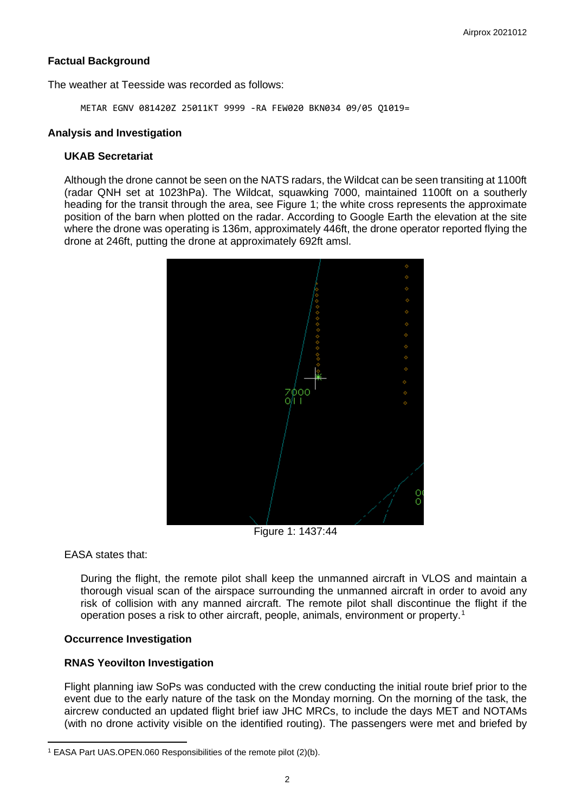## **Factual Background**

The weather at Teesside was recorded as follows:

METAR EGNV 081420Z 25011KT 9999 -RA FEW020 BKN034 09/05 Q1019=

### **Analysis and Investigation**

### **UKAB Secretariat**

Although the drone cannot be seen on the NATS radars, the Wildcat can be seen transiting at 1100ft (radar QNH set at 1023hPa). The Wildcat, squawking 7000, maintained 1100ft on a southerly heading for the transit through the area, see Figure 1; the white cross represents the approximate position of the barn when plotted on the radar. According to Google Earth the elevation at the site where the drone was operating is 136m, approximately 446ft, the drone operator reported flying the drone at 246ft, putting the drone at approximately 692ft amsl.



EASA states that:

During the flight, the remote pilot shall keep the unmanned aircraft in VLOS and maintain a thorough visual scan of the airspace surrounding the unmanned aircraft in order to avoid any risk of collision with any manned aircraft. The remote pilot shall discontinue the flight if the operation poses a risk to other aircraft, people, animals, environment or property.[1](#page-1-0)

## **Occurrence Investigation**

## **RNAS Yeovilton Investigation**

Flight planning iaw SoPs was conducted with the crew conducting the initial route brief prior to the event due to the early nature of the task on the Monday morning. On the morning of the task, the aircrew conducted an updated flight brief iaw JHC MRCs, to include the days MET and NOTAMs (with no drone activity visible on the identified routing). The passengers were met and briefed by

<span id="page-1-0"></span><sup>1</sup> EASA Part UAS.OPEN.060 Responsibilities of the remote pilot (2)(b).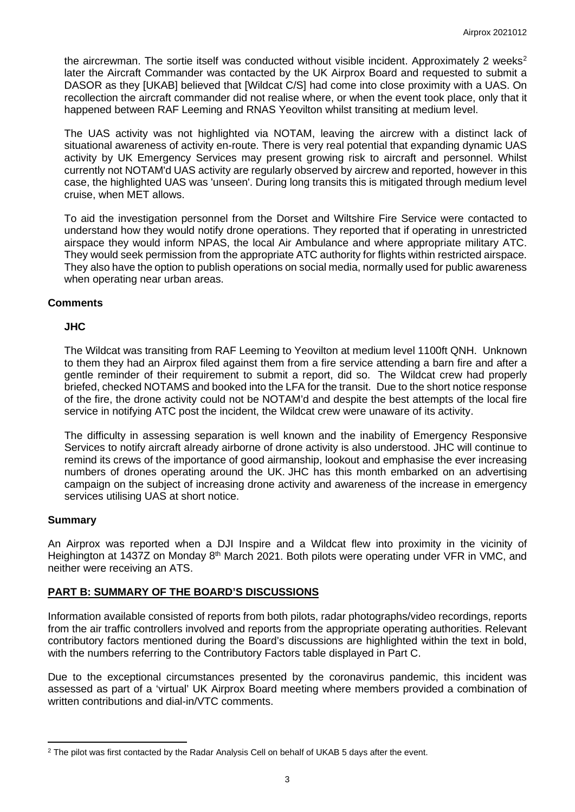the aircrewman. The sortie itself was conducted without visible incident. Approximately [2](#page-2-0) weeks<sup>2</sup> later the Aircraft Commander was contacted by the UK Airprox Board and requested to submit a DASOR as they [UKAB] believed that [Wildcat C/S] had come into close proximity with a UAS. On recollection the aircraft commander did not realise where, or when the event took place, only that it happened between RAF Leeming and RNAS Yeovilton whilst transiting at medium level.

The UAS activity was not highlighted via NOTAM, leaving the aircrew with a distinct lack of situational awareness of activity en-route. There is very real potential that expanding dynamic UAS activity by UK Emergency Services may present growing risk to aircraft and personnel. Whilst currently not NOTAM'd UAS activity are regularly observed by aircrew and reported, however in this case, the highlighted UAS was 'unseen'. During long transits this is mitigated through medium level cruise, when MET allows.

To aid the investigation personnel from the Dorset and Wiltshire Fire Service were contacted to understand how they would notify drone operations. They reported that if operating in unrestricted airspace they would inform NPAS, the local Air Ambulance and where appropriate military ATC. They would seek permission from the appropriate ATC authority for flights within restricted airspace. They also have the option to publish operations on social media, normally used for public awareness when operating near urban areas.

## **Comments**

## **JHC**

The Wildcat was transiting from RAF Leeming to Yeovilton at medium level 1100ft QNH. Unknown to them they had an Airprox filed against them from a fire service attending a barn fire and after a gentle reminder of their requirement to submit a report, did so. The Wildcat crew had properly briefed, checked NOTAMS and booked into the LFA for the transit. Due to the short notice response of the fire, the drone activity could not be NOTAM'd and despite the best attempts of the local fire service in notifying ATC post the incident, the Wildcat crew were unaware of its activity.

The difficulty in assessing separation is well known and the inability of Emergency Responsive Services to notify aircraft already airborne of drone activity is also understood. JHC will continue to remind its crews of the importance of good airmanship, lookout and emphasise the ever increasing numbers of drones operating around the UK. JHC has this month embarked on an advertising campaign on the subject of increasing drone activity and awareness of the increase in emergency services utilising UAS at short notice.

## **Summary**

An Airprox was reported when a DJI Inspire and a Wildcat flew into proximity in the vicinity of Heighington at 1437Z on Monday 8<sup>th</sup> March 2021. Both pilots were operating under VFR in VMC, and neither were receiving an ATS.

## **PART B: SUMMARY OF THE BOARD'S DISCUSSIONS**

Information available consisted of reports from both pilots, radar photographs/video recordings, reports from the air traffic controllers involved and reports from the appropriate operating authorities. Relevant contributory factors mentioned during the Board's discussions are highlighted within the text in bold, with the numbers referring to the Contributory Factors table displayed in Part C.

Due to the exceptional circumstances presented by the coronavirus pandemic, this incident was assessed as part of a 'virtual' UK Airprox Board meeting where members provided a combination of written contributions and dial-in/VTC comments.

<span id="page-2-0"></span><sup>&</sup>lt;sup>2</sup> The pilot was first contacted by the Radar Analysis Cell on behalf of UKAB 5 days after the event.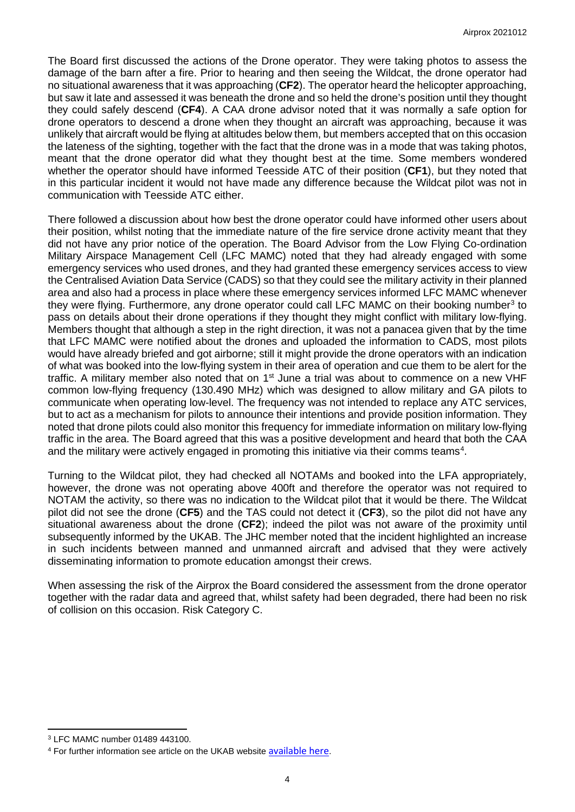The Board first discussed the actions of the Drone operator. They were taking photos to assess the damage of the barn after a fire. Prior to hearing and then seeing the Wildcat, the drone operator had no situational awareness that it was approaching (**CF2**). The operator heard the helicopter approaching, but saw it late and assessed it was beneath the drone and so held the drone's position until they thought they could safely descend (**CF4**). A CAA drone advisor noted that it was normally a safe option for drone operators to descend a drone when they thought an aircraft was approaching, because it was unlikely that aircraft would be flying at altitudes below them, but members accepted that on this occasion the lateness of the sighting, together with the fact that the drone was in a mode that was taking photos, meant that the drone operator did what they thought best at the time. Some members wondered whether the operator should have informed Teesside ATC of their position (**CF1**), but they noted that in this particular incident it would not have made any difference because the Wildcat pilot was not in communication with Teesside ATC either.

There followed a discussion about how best the drone operator could have informed other users about their position, whilst noting that the immediate nature of the fire service drone activity meant that they did not have any prior notice of the operation. The Board Advisor from the Low Flying Co-ordination Military Airspace Management Cell (LFC MAMC) noted that they had already engaged with some emergency services who used drones, and they had granted these emergency services access to view the Centralised Aviation Data Service (CADS) so that they could see the military activity in their planned area and also had a process in place where these emergency services informed LFC MAMC whenever they were flying. Furthermore, any drone operator could call LFC MAMC on their booking number<sup>[3](#page-3-0)</sup> to pass on details about their drone operations if they thought they might conflict with military low-flying. Members thought that although a step in the right direction, it was not a panacea given that by the time that LFC MAMC were notified about the drones and uploaded the information to CADS, most pilots would have already briefed and got airborne; still it might provide the drone operators with an indication of what was booked into the low-flying system in their area of operation and cue them to be alert for the traffic. A military member also noted that on 1<sup>st</sup> June a trial was about to commence on a new VHF common low-flying frequency (130.490 MHz) which was designed to allow military and GA pilots to communicate when operating low-level. The frequency was not intended to replace any ATC services, but to act as a mechanism for pilots to announce their intentions and provide position information. They noted that drone pilots could also monitor this frequency for immediate information on military low-flying traffic in the area. The Board agreed that this was a positive development and heard that both the CAA and the military were actively engaged in promoting this initiative via their comms teams<sup>[4](#page-3-1)</sup>.

Turning to the Wildcat pilot, they had checked all NOTAMs and booked into the LFA appropriately, however, the drone was not operating above 400ft and therefore the operator was not required to NOTAM the activity, so there was no indication to the Wildcat pilot that it would be there. The Wildcat pilot did not see the drone (**CF5**) and the TAS could not detect it (**CF3**), so the pilot did not have any situational awareness about the drone (**CF2**); indeed the pilot was not aware of the proximity until subsequently informed by the UKAB. The JHC member noted that the incident highlighted an increase in such incidents between manned and unmanned aircraft and advised that they were actively disseminating information to promote education amongst their crews.

When assessing the risk of the Airprox the Board considered the assessment from the drone operator together with the radar data and agreed that, whilst safety had been degraded, there had been no risk of collision on this occasion. Risk Category C.

<span id="page-3-0"></span><sup>3</sup> LFC MAMC number 01489 443100.

<span id="page-3-1"></span><sup>4</sup> For further information see article on the UKAB website [available here](https://www.airproxboard.org.uk/Topical-issues-and-themes/Topical-Articles-of-Interest/).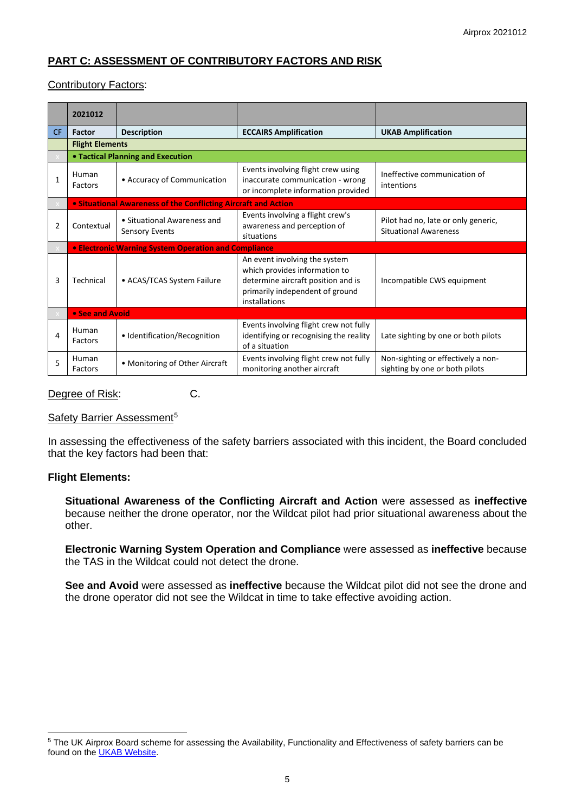# **PART C: ASSESSMENT OF CONTRIBUTORY FACTORS AND RISK**

## Contributory Factors:

|                | 2021012                |                                                                |                                                                                                                                                          |                                                                      |  |  |  |
|----------------|------------------------|----------------------------------------------------------------|----------------------------------------------------------------------------------------------------------------------------------------------------------|----------------------------------------------------------------------|--|--|--|
| <b>CF</b>      | <b>Factor</b>          | <b>Description</b>                                             | <b>ECCAIRS Amplification</b>                                                                                                                             | <b>UKAB Amplification</b>                                            |  |  |  |
|                | <b>Flight Elements</b> |                                                                |                                                                                                                                                          |                                                                      |  |  |  |
|                |                        | • Tactical Planning and Execution                              |                                                                                                                                                          |                                                                      |  |  |  |
| $\mathbf{1}$   | Human<br>Factors       | • Accuracy of Communication                                    | Events involving flight crew using<br>inaccurate communication - wrong<br>or incomplete information provided                                             | Ineffective communication of<br>intentions                           |  |  |  |
|                |                        | • Situational Awareness of the Conflicting Aircraft and Action |                                                                                                                                                          |                                                                      |  |  |  |
| $\overline{2}$ | Contextual             | • Situational Awareness and<br>Sensory Events                  | Events involving a flight crew's<br>awareness and perception of<br>situations                                                                            | Pilot had no, late or only generic,<br><b>Situational Awareness</b>  |  |  |  |
|                |                        | <b>• Electronic Warning System Operation and Compliance</b>    |                                                                                                                                                          |                                                                      |  |  |  |
| 3              | Technical              | • ACAS/TCAS System Failure                                     | An event involving the system<br>which provides information to<br>determine aircraft position and is<br>primarily independent of ground<br>installations | Incompatible CWS equipment                                           |  |  |  |
|                | • See and Avoid        |                                                                |                                                                                                                                                          |                                                                      |  |  |  |
| 4              | Human<br>Factors       | • Identification/Recognition                                   | Events involving flight crew not fully<br>identifying or recognising the reality<br>of a situation                                                       | Late sighting by one or both pilots                                  |  |  |  |
| 5              | Human<br>Factors       | • Monitoring of Other Aircraft                                 | Events involving flight crew not fully<br>monitoring another aircraft                                                                                    | Non-sighting or effectively a non-<br>sighting by one or both pilots |  |  |  |

Degree of Risk: C.

## Safety Barrier Assessment<sup>[5](#page-4-0)</sup>

In assessing the effectiveness of the safety barriers associated with this incident, the Board concluded that the key factors had been that:

#### **Flight Elements:**

**Situational Awareness of the Conflicting Aircraft and Action** were assessed as **ineffective** because neither the drone operator, nor the Wildcat pilot had prior situational awareness about the other.

**Electronic Warning System Operation and Compliance** were assessed as **ineffective** because the TAS in the Wildcat could not detect the drone.

**See and Avoid** were assessed as **ineffective** because the Wildcat pilot did not see the drone and the drone operator did not see the Wildcat in time to take effective avoiding action.

<span id="page-4-0"></span><sup>5</sup> The UK Airprox Board scheme for assessing the Availability, Functionality and Effectiveness of safety barriers can be found on the **UKAB Website**.